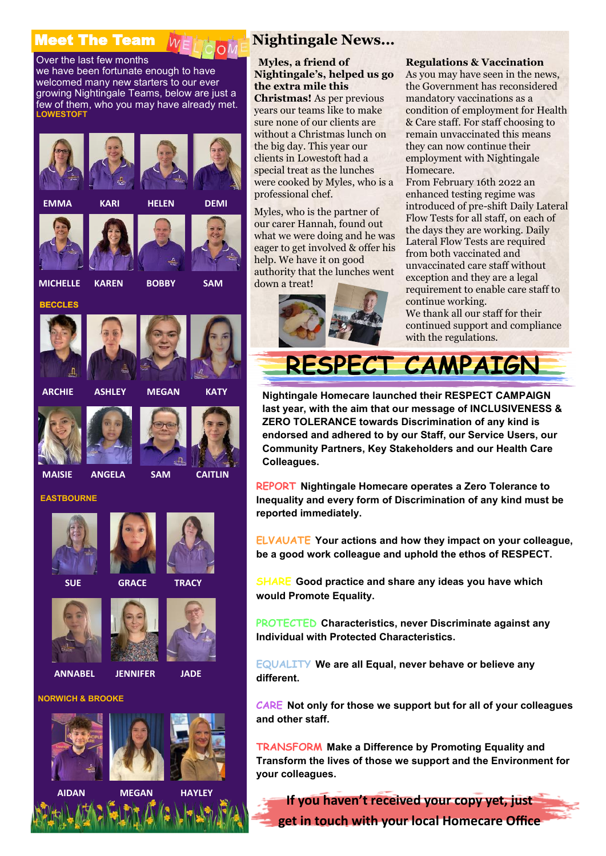# **Meet The Team WEITE**





**Nightingale News...**

#### **Myles, a friend of Nightingale's, helped us go the extra mile this**

**Christmas!** As per previous years our teams like to make sure none of our clients are without a Christmas lunch on the big day. This year our clients in Lowestoft had a special treat as the lunches were cooked by Myles, who is a professional chef.

Myles, who is the partner of our carer Hannah, found out what we were doing and he was eager to get involved & offer his help. We have it on good authority that the lunches went down a treat!



#### **Regulations & Vaccination**

As you may have seen in the news, the Government has reconsidered mandatory vaccinations as a condition of employment for Health & Care staff. For staff choosing to remain unvaccinated this means they can now continue their employment with Nightingale Homecare.

From February 16th 2022 an enhanced testing regime was introduced of pre-shift Daily Lateral Flow Tests for all staff, on each of the days they are working. Daily Lateral Flow Tests are required from both vaccinated and unvaccinated care staff without exception and they are a legal requirement to enable care staff to continue working. We thank all our staff for their continued support and compliance with the regulations.

**RESPECT CAMPAIGN**

**Nightingale Homecare launched their RESPECT CAMPAIGN last year, with the aim that our message of INCLUSIVENESS & ZERO TOLERANCE towards Discrimination of any kind is endorsed and adhered to by our Staff, our Service Users, our Community Partners, Key Stakeholders and our Health Care Colleagues.** 

**REPORT Nightingale Homecare operates a Zero Tolerance to Inequality and every form of Discrimination of any kind must be reported immediately.**

**ELVAUATE Your actions and how they impact on your colleague, be a good work colleague and uphold the ethos of RESPECT.**

**SHARE Good practice and share any ideas you have which would Promote Equality.**

**PROTECTED Characteristics, never Discriminate against any Individual with Protected Characteristics.**

**EQUALITY We are all Equal, never behave or believe any different.**

**CARE Not only for those we support but for all of your colleagues and other staff.**

**TRANSFORM Make a Difference by Promoting Equality and Transform the lives of those we support and the Environment for your colleagues.**

**If you haven't received your copy yet, just get in touch with your local Homecare Office**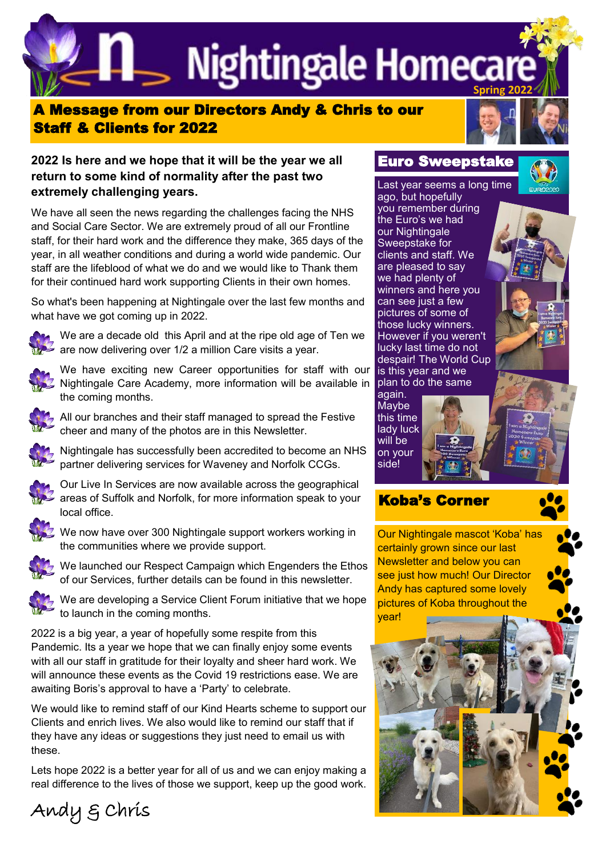**Spring 2022**

### A Message from our Directors Andy & Chris to our Staff & Clients for 2022



#### **2022 Is here and we hope that it will be the year we all return to some kind of normality after the past two extremely challenging years.**

We have all seen the news regarding the challenges facing the NHS and Social Care Sector. We are extremely proud of all our Frontline staff, for their hard work and the difference they make, 365 days of the year, in all weather conditions and during a world wide pandemic. Our staff are the lifeblood of what we do and we would like to Thank them for their continued hard work supporting Clients in their own homes.

So what's been happening at Nightingale over the last few months and what have we got coming up in 2022.



We are a decade old this April and at the ripe old age of Ten we are now delivering over 1/2 a million Care visits a year.



We have exciting new Career opportunities for staff with our Nightingale Care Academy, more information will be available in the coming months.



All our branches and their staff managed to spread the Festive cheer and many of the photos are in this Newsletter.



Nightingale has successfully been accredited to become an NHS partner delivering services for Waveney and Norfolk CCGs.



Our Live In Services are now available across the geographical areas of Suffolk and Norfolk, for more information speak to your local office.



We now have over 300 Nightingale support workers working in the communities where we provide support.



We launched our Respect Campaign which Engenders the Ethos of our Services, further details can be found in this newsletter.



Andy & Chris

We are developing a Service Client Forum initiative that we hope to launch in the coming months.

2022 is a big year, a year of hopefully some respite from this Pandemic. Its a year we hope that we can finally enjoy some events with all our staff in gratitude for their loyalty and sheer hard work. We will announce these events as the Covid 19 restrictions ease. We are awaiting Boris's approval to have a 'Party' to celebrate.

We would like to remind staff of our Kind Hearts scheme to support our Clients and enrich lives. We also would like to remind our staff that if they have any ideas or suggestions they just need to email us with these.

Lets hope 2022 is a better year for all of us and we can enjoy making a real difference to the lives of those we support, keep up the good work.

Last year seems a long time ago, but hopefully you remember during the Euro's we had our Nightingale Sweepstake for clients and staff. We are pleased to say we had plenty of winners and here you can see just a few pictures of some of those lucky winners. However if you weren't lucky last time do not despair! The World Cup is this year and we plan to do the same





## Koba's Corner

Our Nightingale mascot 'Koba' has certainly grown since our last Newsletter and below you can see just how much! Our Director Andy has captured some lovely pictures of Koba throughout the year!

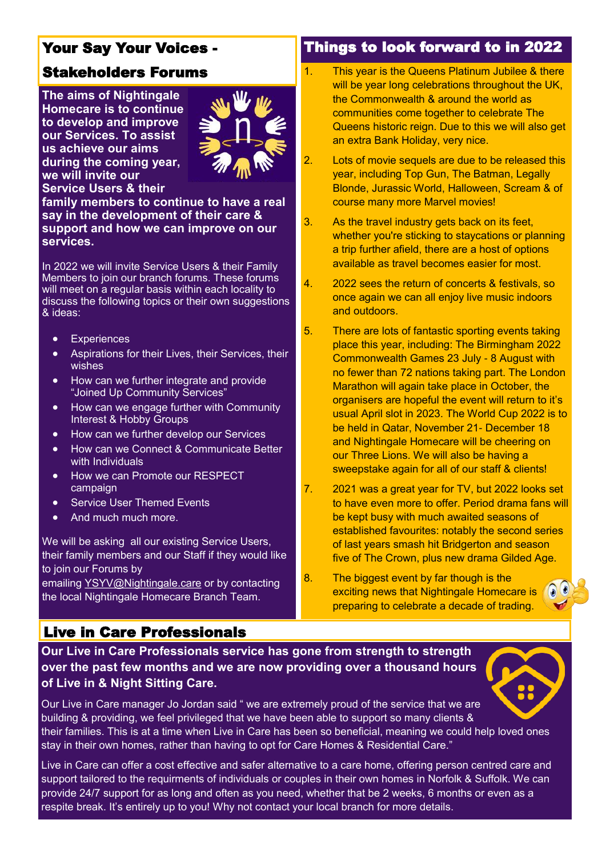## Your Say Your Voices -

## Stakeholders Forums

**The aims of Nightingale Homecare is to continue to develop and improve our Services. To assist us achieve our aims during the coming year, we will invite our Service Users & their** 



**family members to continue to have a real say in the development of their care & support and how we can improve on our services.**

In 2022 we will invite Service Users & their Family Members to join our branch forums. These forums will meet on a regular basis within each locality to discuss the following topics or their own suggestions & ideas:

- Experiences
- Aspirations for their Lives, their Services, their wishes
- How can we further integrate and provide "Joined Up Community Services"
- How can we engage further with Community Interest & Hobby Groups
- How can we further develop our Services
- How can we Connect & Communicate Better with Individuals
- **How we can Promote our RESPECT** campaign
- Service User Themed Events
- And much much more.

We will be asking all our existing Service Users. their family members and our Staff if they would like to join our Forums by

emailing [YSYV@Nightingale.care](mailto:YSYV@Nightingale.care) or by contacting the local Nightingale Homecare Branch Team.

## Live in Care Professionals

**Our Live in Care Professionals service has gone from strength to strength over the past few months and we are now providing over a thousand hours of Live in & Night Sitting Care.**

#### Our Live in Care manager Jo Jordan said " we are extremely proud of the service that we are building & providing, we feel privileged that we have been able to support so many clients & their families. This is at a time when Live in Care has been so beneficial, meaning we could help loved ones stay in their own homes, rather than having to opt for Care Homes & Residential Care."

Live in Care can offer a cost effective and safer alternative to a care home, offering person centred care and support tailored to the requirments of individuals or couples in their own homes in Norfolk & Suffolk. We can provide 24/7 support for as long and often as you need, whether that be 2 weeks, 6 months or even as a respite break. It's entirely up to you! Why not contact your local branch for more details.

### Things to look forward to in 2022

- 1. This year is the Queens Platinum Jubilee & there will be year long celebrations throughout the UK. the Commonwealth & around the world as communities come together to celebrate The Queens historic reign. Due to this we will also get an extra Bank Holiday, very nice.
- 2. Lots of movie sequels are due to be released this year, including Top Gun, The Batman, Legally Blonde, Jurassic World, Halloween, Scream & of course many more Marvel movies!
- 3. As the travel industry gets back on its feet, whether you're sticking to staycations or planning a trip further afield, there are a host of options available as travel becomes easier for most.
- 4. 2022 sees the return of concerts & festivals, so once again we can all enjoy live music indoors and outdoors.
- 5. There are lots of fantastic sporting events taking place this year, including: The Birmingham 2022 Commonwealth Games 23 July - 8 August with no fewer than 72 nations taking part. The London Marathon will again take place in October, the organisers are hopeful the event will return to it's usual April slot in 2023. The World Cup 2022 is to be held in Qatar, November 21- December 18 and Nightingale Homecare will be cheering on our Three Lions. We will also be having a sweepstake again for all of our staff & clients!
- 7. 2021 was a great year for TV, but 2022 looks set to have even more to offer. Period drama fans will be kept busy with much awaited seasons of established favourites: notably the second series of last years smash hit Bridgerton and season five of The Crown, plus new drama Gilded Age.
- 8. The biggest event by far though is the exciting news that Nightingale Homecare is preparing to celebrate a decade of trading.

 $\Omega$